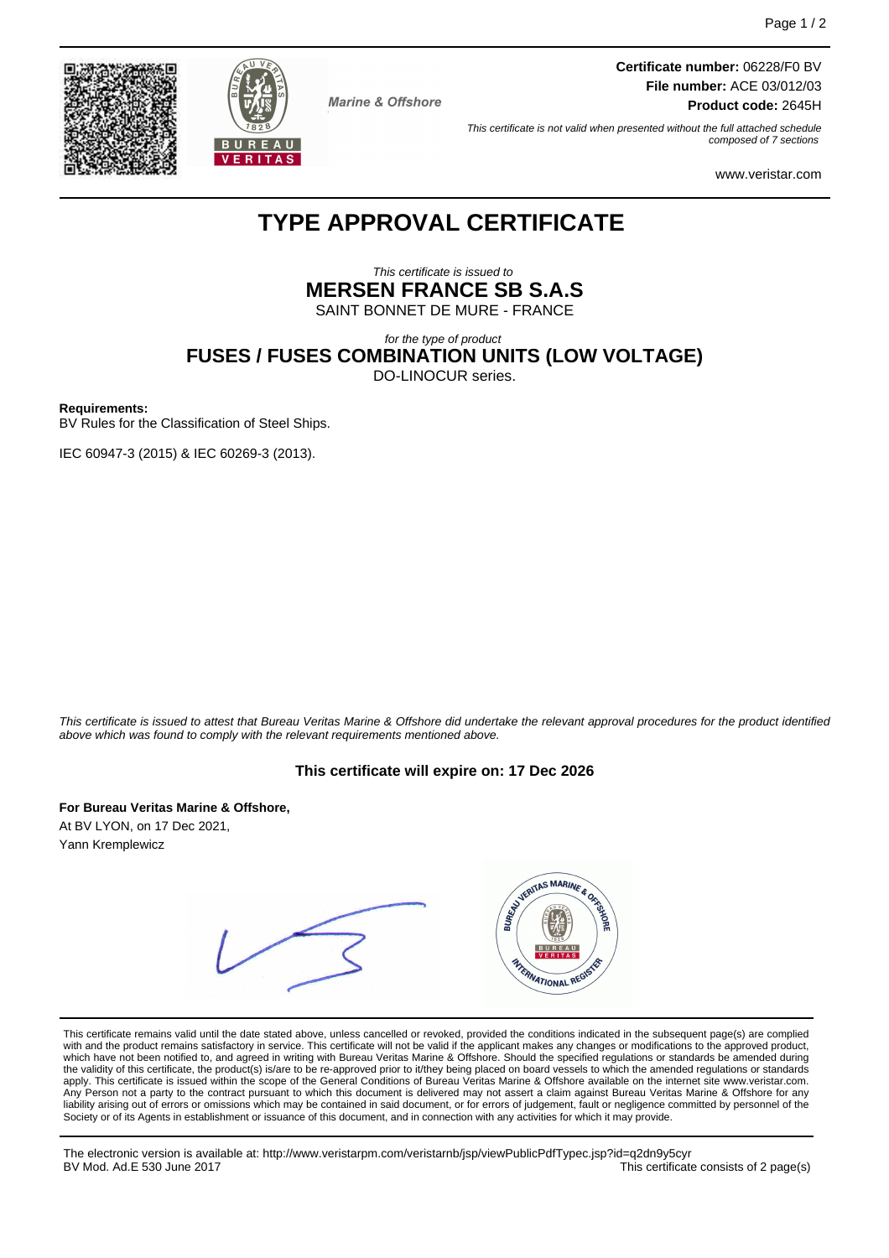**Certificate number:** 06228/F0 BV **File number:** ACE 03/012/03 **Product code:** 2645H

This certificate is not valid when presented without the full attached schedule composed of 7 sections

www.veristar.com

# **TYPE APPROVAL CERTIFICATE**

**Marine & Offshore** 

This certificate is issued to **MERSEN FRANCE SB S.A.S** SAINT BONNET DE MURE - FRANCE

for the type of product

**FUSES / FUSES COMBINATION UNITS (LOW VOLTAGE)**

DO-LINOCUR series.

**Requirements:**

BV Rules for the Classification of Steel Ships.

IEC 60947-3 (2015) & IEC 60269-3 (2013).

This certificate is issued to attest that Bureau Veritas Marine & Offshore did undertake the relevant approval procedures for the product identified above which was found to comply with the relevant requirements mentioned above.

#### **This certificate will expire on: 17 Dec 2026**

**For Bureau Veritas Marine & Offshore,**

At BV LYON, on 17 Dec 2021, Yann Kremplewicz



This certificate remains valid until the date stated above, unless cancelled or revoked, provided the conditions indicated in the subsequent page(s) are complied with and the product remains satisfactory in service. This certificate will not be valid if the applicant makes any changes or modifications to the approved product, which have not been notified to, and agreed in writing with Bureau Veritas Marine & Offshore. Should the specified regulations or standards be amended during<br>the validity of this certificate, the product(s) is/are to be re apply. This certificate is issued within the scope of the General Conditions of Bureau Veritas Marine & Offshore available on the internet site www.veristar.com. Any Person not a party to the contract pursuant to which this document is delivered may not assert a claim against Bureau Veritas Marine & Offshore for any liability arising out of errors or omissions which may be contained in said document, or for errors of judgement, fault or negligence committed by personnel of the<br>Society or of its Agents in establishment or issuance of t

The electronic version is available at: http://www.veristarpm.com/veristarnb/jsp/viewPublicPdfTypec.jsp?id=q2dn9y5cyr This certificate consists of 2 page(s)